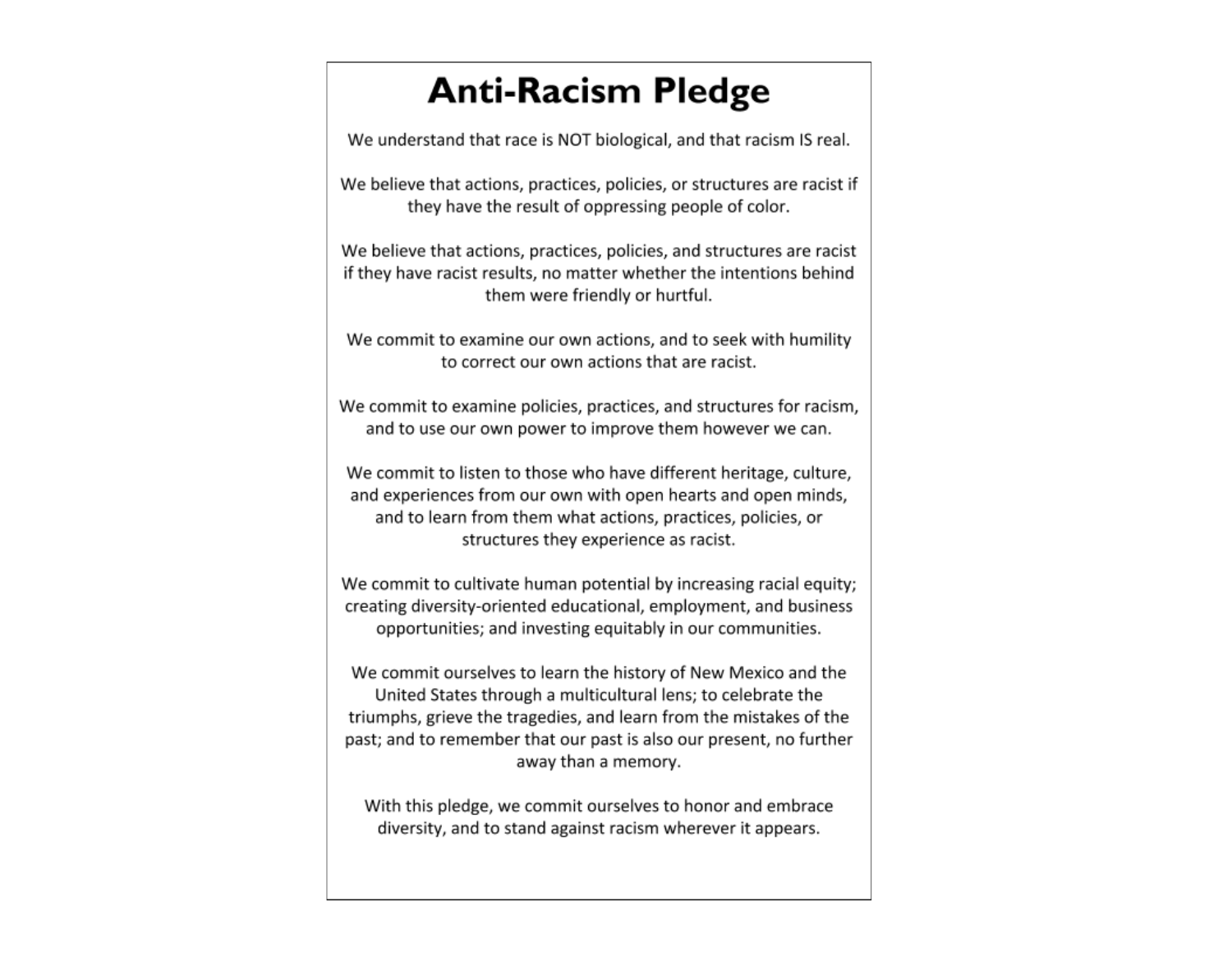## **Anti-Racism Pledge**

We understand that race is NOT biological, and that racism IS real.

We believe that actions, practices, policies, or structures are racist if they have the result of oppressing people of color.

We believe that actions, practices, policies, and structures are racist if they have racist results, no matter whether the intentions behind them were friendly or hurtful.

We commit to examine our own actions, and to seek with humility to correct our own actions that are racist.

We commit to examine policies, practices, and structures for racism, and to use our own power to improve them however we can.

We commit to listen to those who have different heritage, culture, and experiences from our own with open hearts and open minds, and to learn from them what actions, practices, policies, or structures they experience as racist.

We commit to cultivate human potential by increasing racial equity; creating diversity-oriented educational, employment, and business opportunities; and investing equitably in our communities.

We commit ourselves to learn the history of New Mexico and the United States through a multicultural lens; to celebrate the triumphs, grieve the tragedies, and learn from the mistakes of the past; and to remember that our past is also our present, no further away than a memory.

With this pledge, we commit ourselves to honor and embrace diversity, and to stand against racism wherever it appears.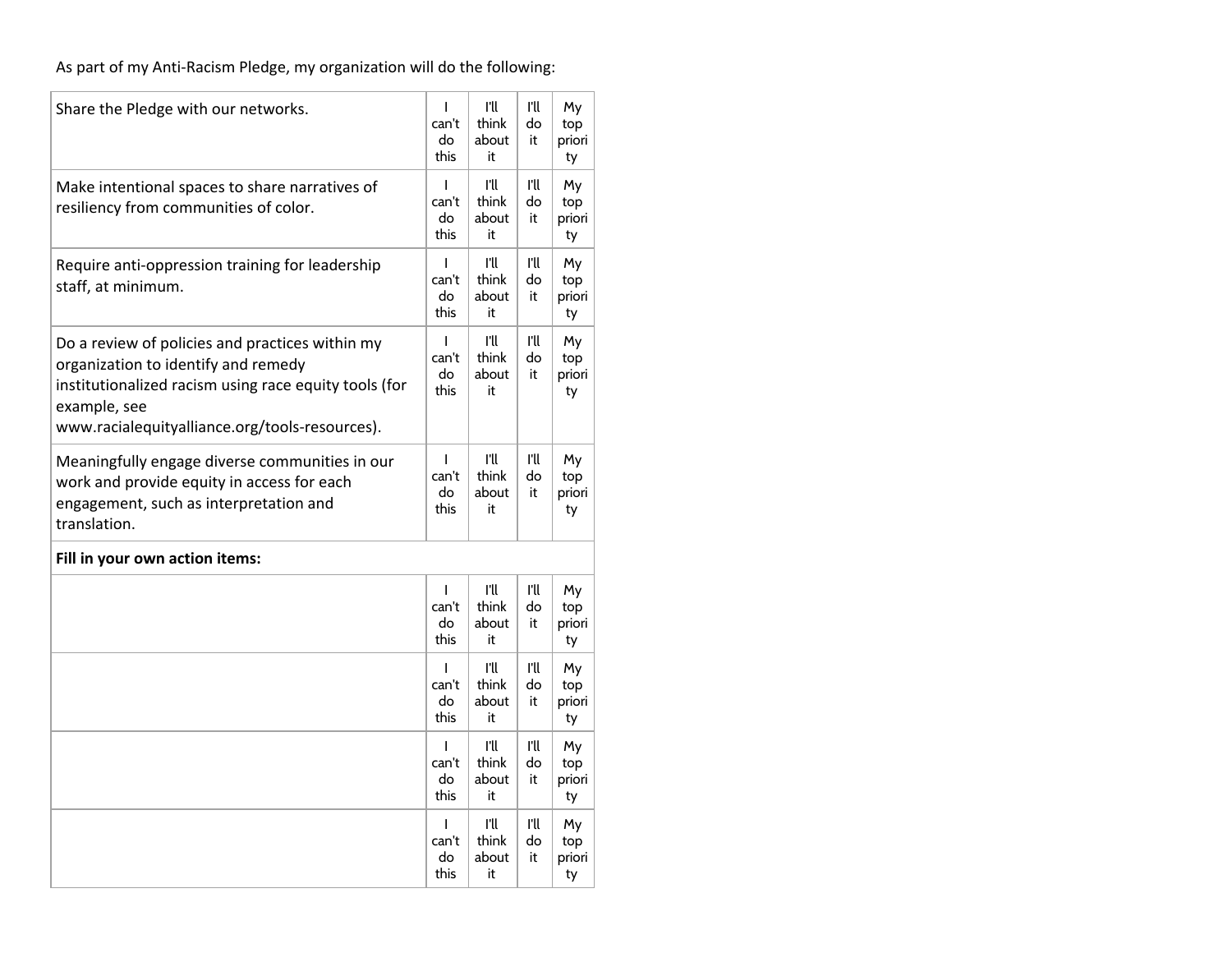As part of my Anti-Racism Pledge, my organization will do the following:

| Share the Pledge with our networks.                                                                                                                                                                               | I<br>can't<br>do<br>this            | ru<br>think<br>about<br>it | ru<br>do<br>it | My<br>top<br>priori<br>ty |
|-------------------------------------------------------------------------------------------------------------------------------------------------------------------------------------------------------------------|-------------------------------------|----------------------------|----------------|---------------------------|
| Make intentional spaces to share narratives of<br>resiliency from communities of color.                                                                                                                           | I<br>can't<br>do<br>this            | ru<br>think<br>about<br>it | ru<br>do<br>it | My<br>top<br>priori<br>ty |
| Require anti-oppression training for leadership<br>staff, at minimum.                                                                                                                                             | $\mathsf{I}$<br>can't<br>do<br>this | ru<br>think<br>about<br>it | ru<br>do<br>it | My<br>top<br>priori<br>ty |
| Do a review of policies and practices within my<br>organization to identify and remedy<br>institutionalized racism using race equity tools (for<br>example, see<br>www.racialequityalliance.org/tools-resources). | I<br>can't<br>do<br>this            | ru<br>think<br>about<br>it | ru<br>do<br>it | My<br>top<br>priori<br>ty |
| Meaningfully engage diverse communities in our<br>work and provide equity in access for each<br>engagement, such as interpretation and<br>translation.                                                            | I<br>can't<br>do<br>this            | ru<br>think<br>about<br>it | ru<br>do<br>it | My<br>top<br>priori<br>ty |
| Fill in your own action items:                                                                                                                                                                                    |                                     |                            |                |                           |
|                                                                                                                                                                                                                   | $\mathsf{I}$<br>can't<br>do<br>this | ru<br>think<br>about<br>it | ru<br>do<br>it | My<br>top<br>priori<br>ty |
|                                                                                                                                                                                                                   | $\mathsf{I}$<br>can't<br>do<br>this | ru<br>think<br>about<br>it | ru<br>do<br>it | My<br>top<br>priori<br>ty |
|                                                                                                                                                                                                                   | ı<br>can't<br>do<br>this            | ru<br>think<br>about<br>it | ru<br>do<br>it | My<br>top<br>priori<br>ty |
|                                                                                                                                                                                                                   | $\mathsf{I}$<br>can't<br>do<br>this | ru<br>think<br>about<br>it | ru<br>do<br>it | My<br>top<br>priori<br>ty |